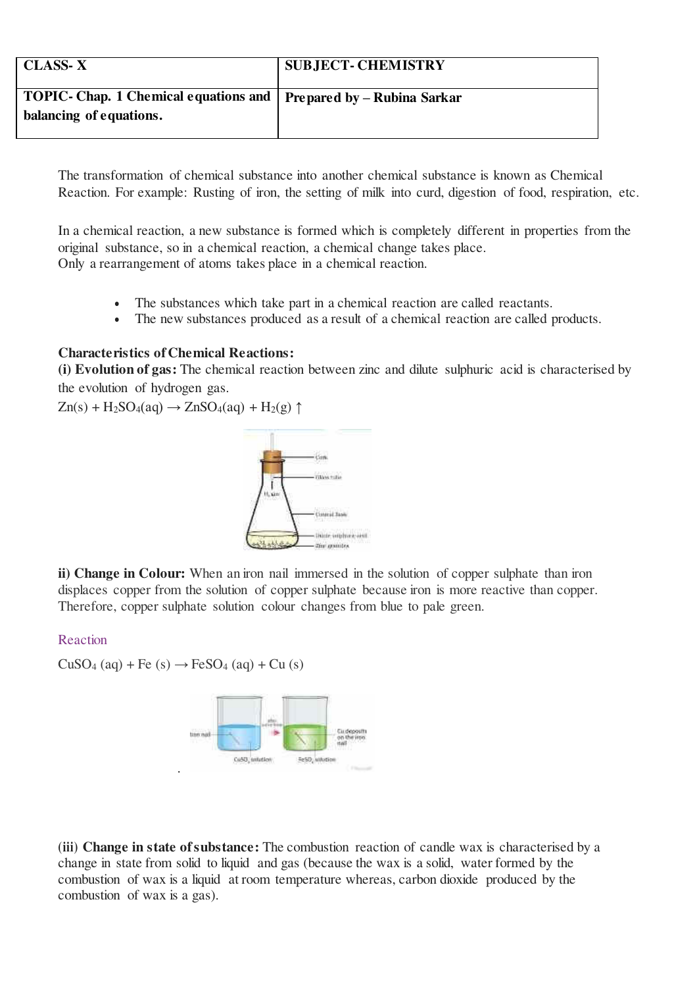| <b>CLASS-X</b>                                                      | <b>SUBJECT- CHEMISTRY</b> |
|---------------------------------------------------------------------|---------------------------|
| TOPIC- Chap. 1 Chemical equations and   Prepared by - Rubina Sarkar |                           |
| balancing of equations.                                             |                           |
|                                                                     |                           |

The transformation of chemical substance into another chemical substance is known as Chemical Reaction. For example: Rusting of iron, the setting of milk into curd, digestion of food, respiration, etc.

In a chemical reaction, a new substance is formed which is completely different in properties from the original substance, so in a chemical reaction, a chemical change takes place. Only a rearrangement of atoms takes place in a chemical reaction.

- The substances which take part in a chemical reaction are called reactants.
- The new substances produced as a result of a chemical reaction are called products.

### **Characteristics of Chemical Reactions:**

**(i) Evolution of gas:** The chemical reaction between zinc and dilute sulphuric acid is characterised by the evolution of hydrogen gas.

 $Zn(s) + H_2SO_4(aq) \rightarrow ZnSO_4(aq) + H_2(g) \uparrow$ 



**ii) Change in Colour:** When an iron nail immersed in the solution of copper sulphate than iron displaces copper from the solution of copper sulphate because iron is more reactive than copper. Therefore, copper sulphate solution colour changes from blue to pale green.

#### Reaction

 $CuSO<sub>4</sub>(aq) + Fe (s) \rightarrow FeSO<sub>4</sub>(aq) + Cu (s)$ 



**(iii) Change in state of substance:** The combustion reaction of candle wax is characterised by a change in state from solid to liquid and gas (because the wax is a solid, water formed by the combustion of wax is a liquid at room temperature whereas, carbon dioxide produced by the combustion of wax is a gas).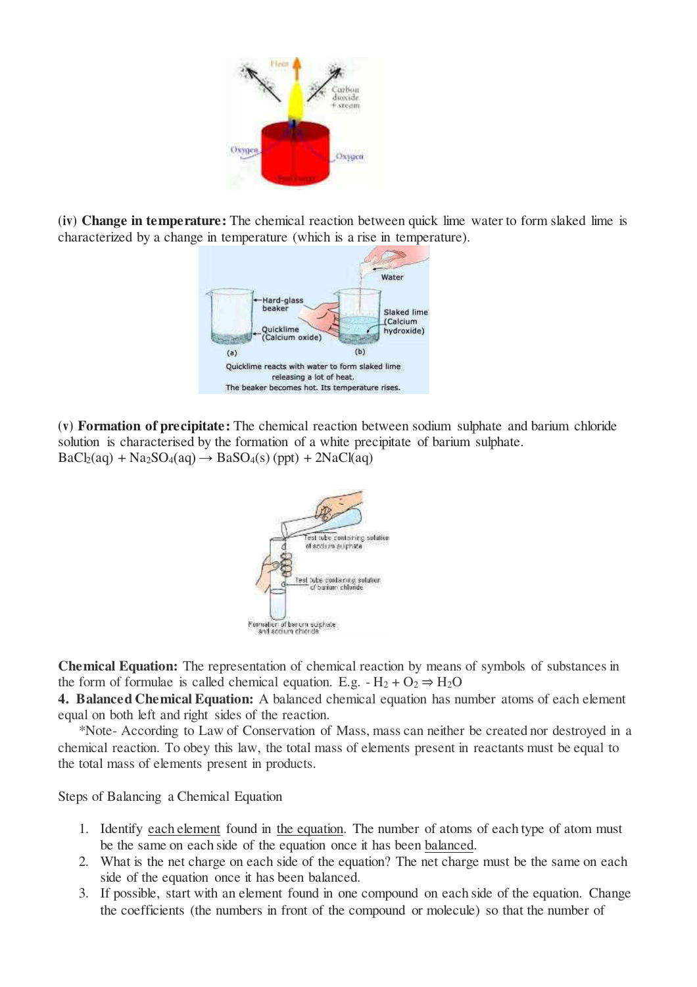

**(iv) Change in temperature:** The chemical reaction between quick lime water to form slaked lime is characterized by a change in temperature (which is a rise in temperature).



**(v) Formation of precipitate:** The chemical reaction between sodium sulphate and barium chloride solution is characterised by the formation of a white precipitate of barium sulphate.  $BaCl<sub>2</sub>(aq) + Na<sub>2</sub>SO<sub>4</sub>(aq) \rightarrow BaSO<sub>4</sub>(s) (ppt) + 2NaCl(aq)$ 



**Chemical Equation:** The representation of chemical reaction by means of symbols of substances in the form of formulae is called chemical equation. E.g.  $-H_2 + O_2 \Rightarrow H_2O$ 

**4. Balanced Chemical Equation:** A balanced chemical equation has number atoms of each element equal on both left and right sides of the reaction.

\*Note- According to Law of Conservation of Mass, mass can neither be created nor destroyed in a chemical reaction. To obey this law, the total mass of elements present in reactants must be equal to the total mass of elements present in products.

Steps of Balancing a Chemical Equation

- 1. Identify [each element f](https://www.thoughtco.com/what-is-a-chemical-element-604297)ound in [the equation.](https://www.thoughtco.com/what-is-a-chemical-equation-604026) The number of atoms of each type of atom must be the same on each side of the equation once it has been [balanced.](https://www.thoughtco.com/examples-of-10-balanced-chemical-equations-604027)
- 2. What is the net charge on each side of the equation? The net charge must be the same on each side of the equation once it has been balanced.
- 3. If possible, start with an element found in one compound on each side of the equation. Change the coefficients (the numbers in front of the compound or molecule) so that the number of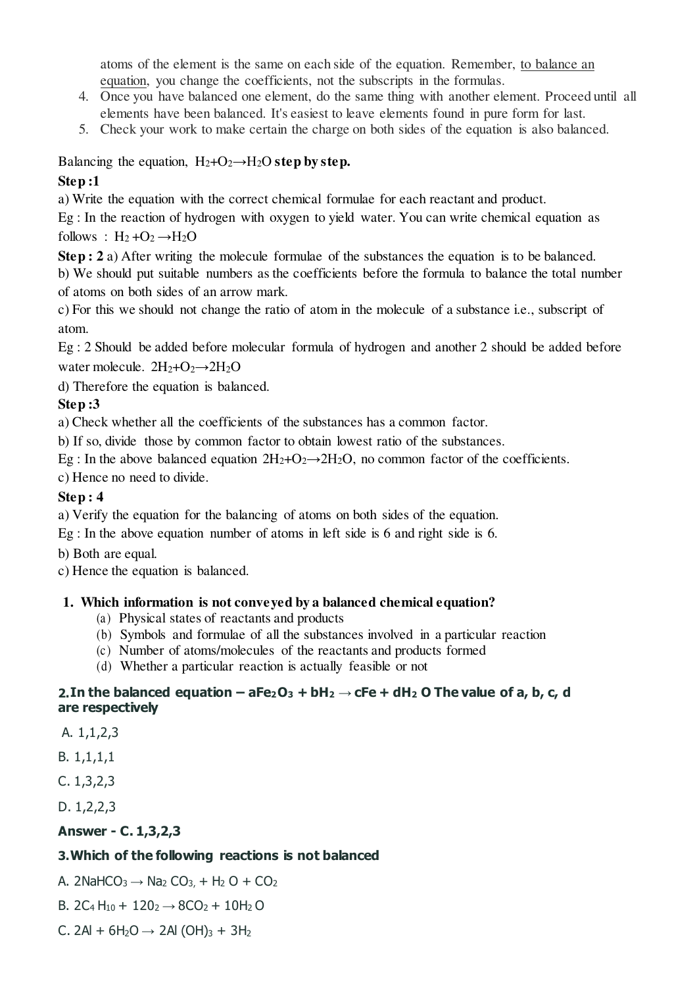atoms of the element is the same on each side of the equation. Remember, [to balance an](https://www.thoughtco.com/how-to-balance-chemical-equations-603860)  [equation,](https://www.thoughtco.com/how-to-balance-chemical-equations-603860) you change the coefficients, not the subscripts in the formulas.

- 4. Once you have balanced one element, do the same thing with another element. Proceed until all elements have been balanced. It's easiest to leave elements found in pure form for last.
- 5. Check your work to make certain the charge on both sides of the equation is also balanced.

## Balancing the equation,  $H_2 + O_2 \rightarrow H_2O$  step by step.

## **Step :1**

a) Write the equation with the correct chemical formulae for each reactant and product.

Eg : In the reaction of hydrogen with oxygen to yield water. You can write chemical equation as follows :  $H_2 + O_2 \rightarrow H_2O$ 

**Step : 2** a) After writing the molecule formulae of the substances the equation is to be balanced. b) We should put suitable numbers as the coefficients before the formula to balance the total number of atoms on both sides of an arrow mark.

c) For this we should not change the ratio of atom in the molecule of a substance i.e., subscript of atom.

Eg : 2 Should be added before molecular formula of hydrogen and another 2 should be added before water molecule.  $2H_2+O_2 \rightarrow 2H_2O$ 

d) Therefore the equation is balanced.

# **Step :3**

a) Check whether all the coefficients of the substances has a common factor.

b) If so, divide those by common factor to obtain lowest ratio of the substances.

Eg : In the above balanced equation  $2H_2+O_2 \rightarrow 2H_2O$ , no common factor of the coefficients.

c) Hence no need to divide.

# **Step : 4**

a) Verify the equation for the balancing of atoms on both sides of the equation.

Eg : In the above equation number of atoms in left side is 6 and right side is 6.

b) Both are equal.

c) Hence the equation is balanced.

### **1. Which information is not conveyed by a balanced chemical equation?**

- (a) Physical states of reactants and products
- (b) Symbols and formulae of all the substances involved in a particular reaction
- (c) Number of atoms/molecules of the reactants and products formed
- (d) Whether a particular reaction is actually feasible or not

#### **2.** In the balanced equation  $-$  aFe<sub>2</sub>O<sub>3</sub>  $+$  bH<sub>2</sub>  $\rightarrow$  cFe  $+$  dH<sub>2</sub> O The value of a, b, c, d **are respectively**

A. 1,1,2,3

B. 1,1,1,1

C. 1,3,2,3

D. 1,2,2,3

# **Answer - C. 1,3,2,3**

# **3.Which of the following reactions is not balanced**

A. 2NaHCO<sub>3</sub>  $\rightarrow$  Na<sub>2</sub> CO<sub>3</sub>, + H<sub>2</sub> O + CO<sub>2</sub>

B. 2C<sub>4</sub> H<sub>10</sub> + 120<sub>2</sub>  $\rightarrow$  8CO<sub>2</sub> + 10H<sub>2</sub> O

C. 2Al + 6H<sub>2</sub>O → 2Al (OH)<sub>3</sub> + 3H<sub>2</sub>